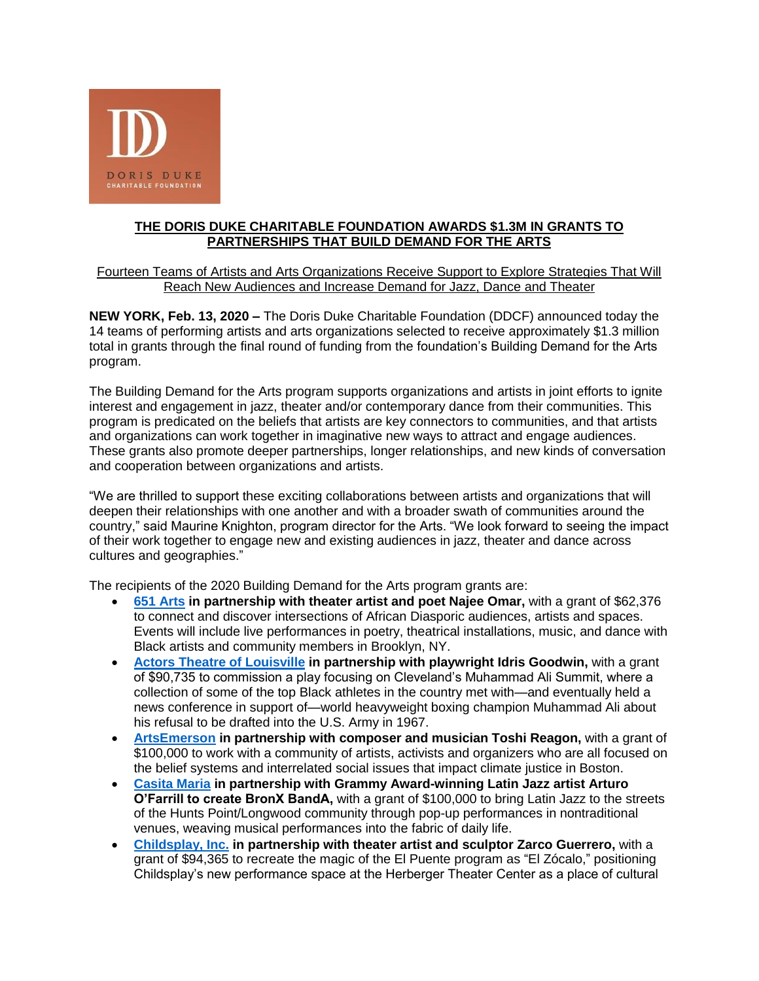

## **THE DORIS DUKE CHARITABLE FOUNDATION AWARDS \$1.3M IN GRANTS TO PARTNERSHIPS THAT BUILD DEMAND FOR THE ARTS**

Fourteen Teams of Artists and Arts Organizations Receive Support to Explore Strategies That Will Reach New Audiences and Increase Demand for Jazz, Dance and Theater

**NEW YORK, Feb. 13, 2020 –** The Doris Duke Charitable Foundation (DDCF) announced today the 14 teams of performing artists and arts organizations selected to receive approximately \$1.3 million total in grants through the final round of funding from the foundation's Building Demand for the Arts program.

The Building Demand for the Arts program supports organizations and artists in joint efforts to ignite interest and engagement in jazz, theater and/or contemporary dance from their communities. This program is predicated on the beliefs that artists are key connectors to communities, and that artists and organizations can work together in imaginative new ways to attract and engage audiences. These grants also promote deeper partnerships, longer relationships, and new kinds of conversation and cooperation between organizations and artists.

"We are thrilled to support these exciting collaborations between artists and organizations that will deepen their relationships with one another and with a broader swath of communities around the country," said Maurine Knighton, program director for the Arts. "We look forward to seeing the impact of their work together to engage new and existing audiences in jazz, theater and dance across cultures and geographies."

The recipients of the 2020 Building Demand for the Arts program grants are:

- **[651 Arts](https://www.651arts.org/) in partnership with theater artist and poet Najee Omar,** with a grant of \$62,376 to connect and discover intersections of African Diasporic audiences, artists and spaces. Events will include live performances in poetry, theatrical installations, music, and dance with Black artists and community members in Brooklyn, NY.
- **[Actors Theatre of Louisville](https://www.actorstheatre.org/) in partnership with playwright Idris Goodwin,** with a grant of \$90,735 to commission a play focusing on Cleveland's Muhammad Ali Summit, where a collection of some of the top Black athletes in the country met with—and eventually held a news conference in support of—world heavyweight boxing champion Muhammad Ali about his refusal to be drafted into the U.S. Army in 1967.
- **[ArtsEmerson](https://artsemerson.org/Online/default.asp) in partnership with composer and musician Toshi Reagon,** with a grant of \$100,000 to work with a community of artists, activists and organizers who are all focused on the belief systems and interrelated social issues that impact climate justice in Boston.
- **[Casita Maria](https://www.casitamaria.org/) in partnership with Grammy Award-winning Latin Jazz artist Arturo O'Farrill to create BronX BandA,** with a grant of \$100,000 to bring Latin Jazz to the streets of the Hunts Point/Longwood community through pop-up performances in nontraditional venues, weaving musical performances into the fabric of daily life.
- **[Childsplay, Inc.](https://www.childsplayaz.org/) in partnership with theater artist and sculptor Zarco Guerrero,** with a grant of \$94,365 to recreate the magic of the El Puente program as "El Zócalo," positioning Childsplay's new performance space at the Herberger Theater Center as a place of cultural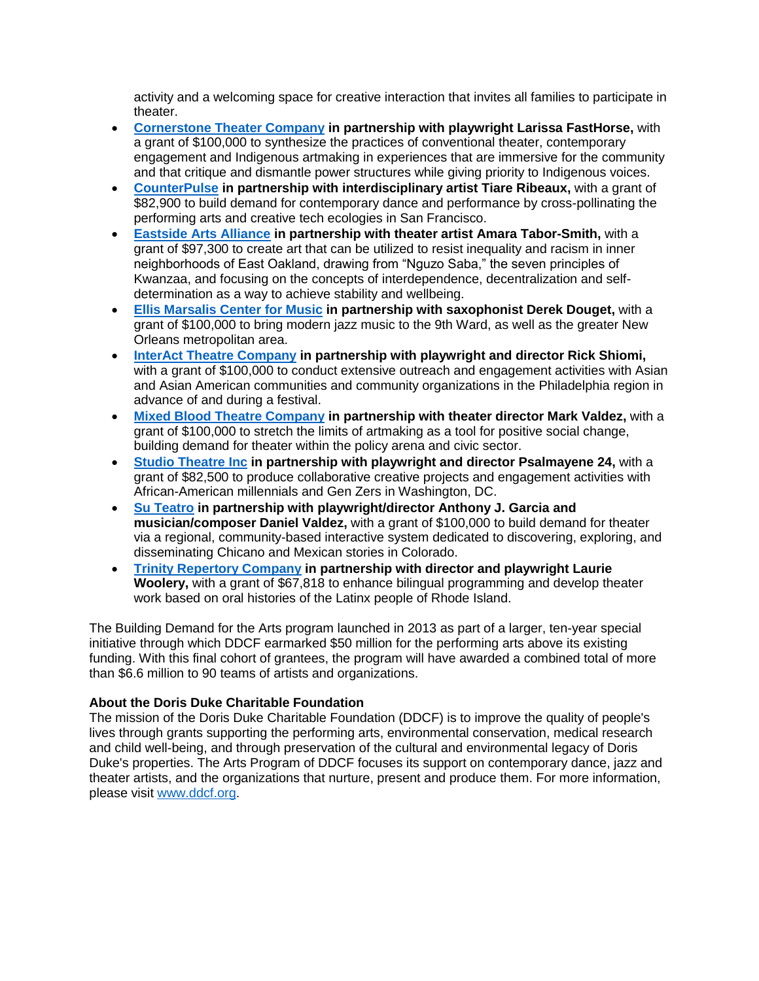activity and a welcoming space for creative interaction that invites all families to participate in theater.

- **[Cornerstone Theater Company](https://cornerstonetheater.org/) in partnership with playwright Larissa FastHorse,** with a grant of \$100,000 to synthesize the practices of conventional theater, contemporary engagement and Indigenous artmaking in experiences that are immersive for the community and that critique and dismantle power structures while giving priority to Indigenous voices.
- **[CounterPulse](https://counterpulse.org/) in partnership with interdisciplinary artist Tiare Ribeaux,** with a grant of \$82,900 to build demand for contemporary dance and performance by cross-pollinating the performing arts and creative tech ecologies in San Francisco.
- **[Eastside Arts Alliance](https://www.eastsideartsalliance.org/) in partnership with theater artist Amara Tabor-Smith,** with a grant of \$97,300 to create art that can be utilized to resist inequality and racism in inner neighborhoods of East Oakland, drawing from "Nguzo Saba," the seven principles of Kwanzaa, and focusing on the concepts of interdependence, decentralization and selfdetermination as a way to achieve stability and wellbeing.
- **[Ellis Marsalis Center for Music](https://ellismarsaliscenter.org/) in partnership with saxophonist Derek Douget,** with a grant of \$100,000 to bring modern jazz music to the 9th Ward, as well as the greater New Orleans metropolitan area.
- **[InterAct Theatre Company](http://www.interacttheatre.org/) in partnership with playwright and director Rick Shiomi,** with a grant of \$100,000 to conduct extensive outreach and engagement activities with Asian and Asian American communities and community organizations in the Philadelphia region in advance of and during a festival.
- **[Mixed Blood Theatre Company](https://mixedblood.com/) in partnership with theater director Mark Valdez,** with a grant of \$100,000 to stretch the limits of artmaking as a tool for positive social change, building demand for theater within the policy arena and civic sector.
- **[Studio Theatre Inc](https://www.studiotheatre.org/) in partnership with playwright and director Psalmayene 24,** with a grant of \$82,500 to produce collaborative creative projects and engagement activities with African-American millennials and Gen Zers in Washington, DC.
- **[Su Teatro](http://suteatro.org/) in partnership with playwright/director Anthony J. Garcia and musician/composer Daniel Valdez,** with a grant of \$100,000 to build demand for theater via a regional, community-based interactive system dedicated to discovering, exploring, and disseminating Chicano and Mexican stories in Colorado.
- **[Trinity Repertory Company](https://www.trinityrep.com/) in partnership with director and playwright Laurie Woolery,** with a grant of \$67,818 to enhance bilingual programming and develop theater work based on oral histories of the Latinx people of Rhode Island.

The Building Demand for the Arts program launched in 2013 as part of a larger, ten-year special initiative through which DDCF earmarked \$50 million for the performing arts above its existing funding. With this final cohort of grantees, the program will have awarded a combined total of more than \$6.6 million to 90 teams of artists and organizations.

## **About the Doris Duke Charitable Foundation**

The mission of the Doris Duke Charitable Foundation (DDCF) is to improve the quality of people's lives through grants supporting the performing arts, environmental conservation, medical research and child well-being, and through preservation of the cultural and environmental legacy of Doris Duke's properties. The Arts Program of DDCF focuses its support on contemporary dance, jazz and theater artists, and the organizations that nurture, present and produce them. For more information, please visit [www.ddcf.org.](http://www.ddcf.org/)